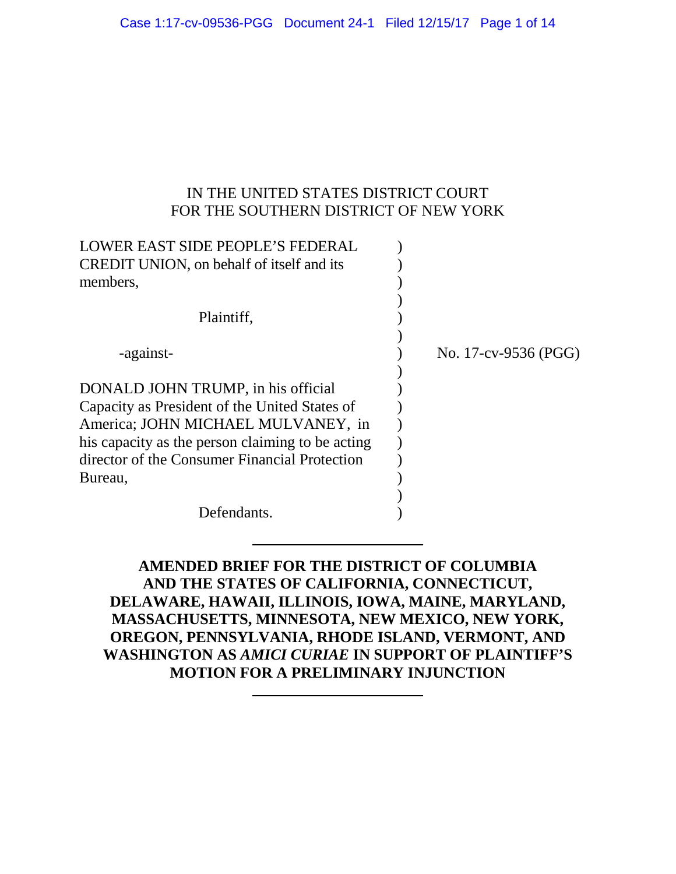### IN THE UNITED STATES DISTRICT COURT FOR THE SOUTHERN DISTRICT OF NEW YORK

| LOWER EAST SIDE PEOPLE'S FEDERAL<br><b>CREDIT UNION</b> , on behalf of itself and its |                      |
|---------------------------------------------------------------------------------------|----------------------|
| members,                                                                              |                      |
| Plaintiff,                                                                            |                      |
| -against-                                                                             | No. 17-cv-9536 (PGG) |
| DONALD JOHN TRUMP, in his official                                                    |                      |
| Capacity as President of the United States of                                         |                      |
| America; JOHN MICHAEL MULVANEY, in                                                    |                      |
| his capacity as the person claiming to be acting                                      |                      |
| director of the Consumer Financial Protection                                         |                      |
| Bureau,                                                                               |                      |
|                                                                                       |                      |
| Defendants.                                                                           |                      |

**AMENDED BRIEF FOR THE DISTRICT OF COLUMBIA AND THE STATES OF CALIFORNIA, CONNECTICUT, DELAWARE, HAWAII, ILLINOIS, IOWA, MAINE, MARYLAND, MASSACHUSETTS, MINNESOTA, NEW MEXICO, NEW YORK, OREGON, PENNSYLVANIA, RHODE ISLAND, VERMONT, AND WASHINGTON AS** *AMICI CURIAE* **IN SUPPORT OF PLAINTIFF'S MOTION FOR A PRELIMINARY INJUNCTION**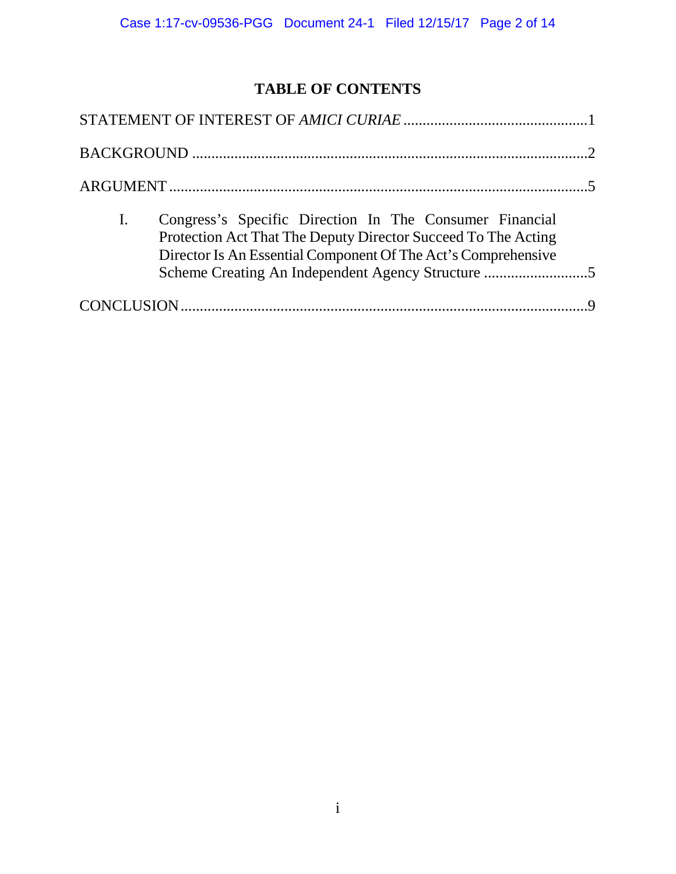# **TABLE OF CONTENTS**

| Congress's Specific Direction In The Consumer Financial<br>$\mathbf{I}$ .<br>Protection Act That The Deputy Director Succeed To The Acting<br>Director Is An Essential Component Of The Act's Comprehensive<br>Scheme Creating An Independent Agency Structure 5 |
|------------------------------------------------------------------------------------------------------------------------------------------------------------------------------------------------------------------------------------------------------------------|
|                                                                                                                                                                                                                                                                  |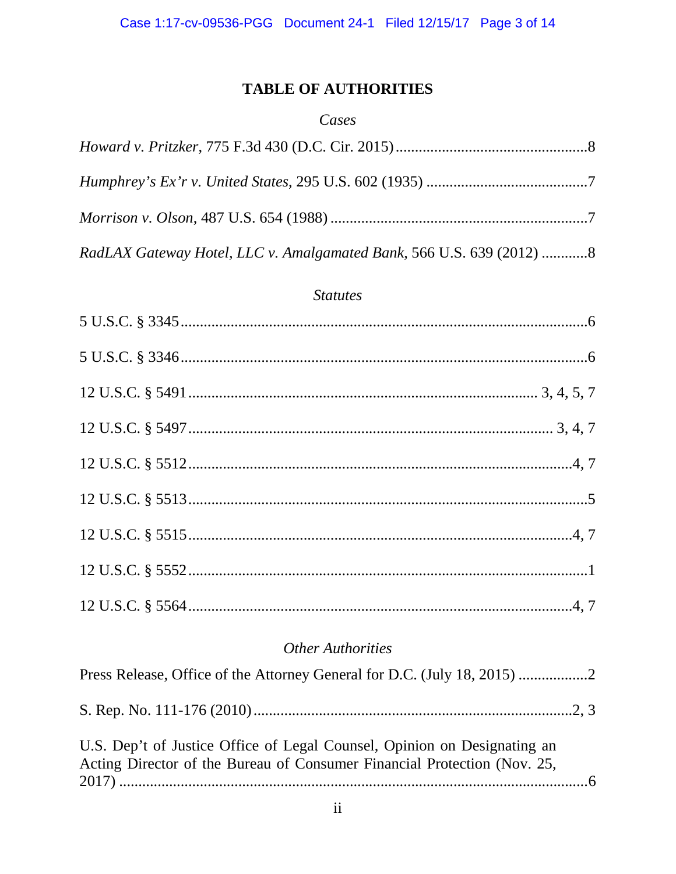# **TABLE OF AUTHORITIES**

### Cases

| RadLAX Gateway Hotel, LLC v. Amalgamated Bank, 566 U.S. 639 (2012) 8 |
|----------------------------------------------------------------------|

### **Statutes**

# **Other Authorities**

| Press Release, Office of the Attorney General for D.C. (July 18, 2015)                                                                               |  |
|------------------------------------------------------------------------------------------------------------------------------------------------------|--|
|                                                                                                                                                      |  |
| U.S. Dep't of Justice Office of Legal Counsel, Opinion on Designating an<br>Acting Director of the Bureau of Consumer Financial Protection (Nov. 25, |  |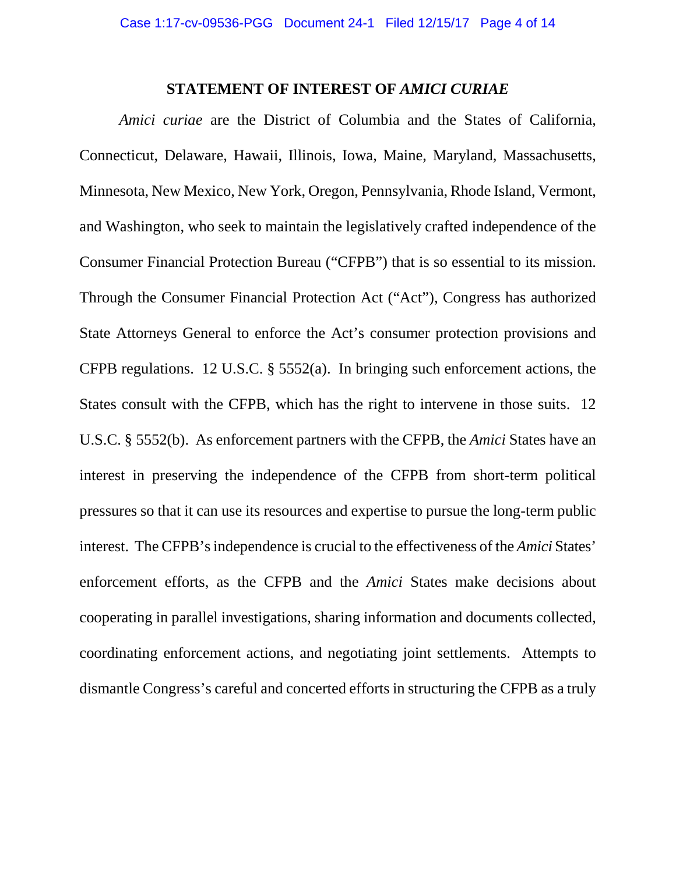#### **STATEMENT OF INTEREST OF** *AMICI CURIAE*

<span id="page-3-0"></span>*Amici curiae* are the District of Columbia and the States of California, Connecticut, Delaware, Hawaii, Illinois, Iowa, Maine, Maryland, Massachusetts, Minnesota, New Mexico, New York, Oregon, Pennsylvania, Rhode Island, Vermont, and Washington, who seek to maintain the legislatively crafted independence of the Consumer Financial Protection Bureau ("CFPB") that is so essential to its mission. Through the Consumer Financial Protection Act ("Act"), Congress has authorized State Attorneys General to enforce the Act's consumer protection provisions and CFPB regulations. 12 U.S.C. § 5552(a). In bringing such enforcement actions, the States consult with the CFPB, which has the right to intervene in those suits. 12 U.S.C. § 5552(b). As enforcement partners with the CFPB, the *Amici* States have an interest in preserving the independence of the CFPB from short-term political pressures so that it can use its resources and expertise to pursue the long-term public interest. The CFPB's independence is crucial to the effectiveness of the *Amici* States' enforcement efforts, as the CFPB and the *Amici* States make decisions about cooperating in parallel investigations, sharing information and documents collected, coordinating enforcement actions, and negotiating joint settlements. Attempts to dismantle Congress's careful and concerted efforts in structuring the CFPB as a truly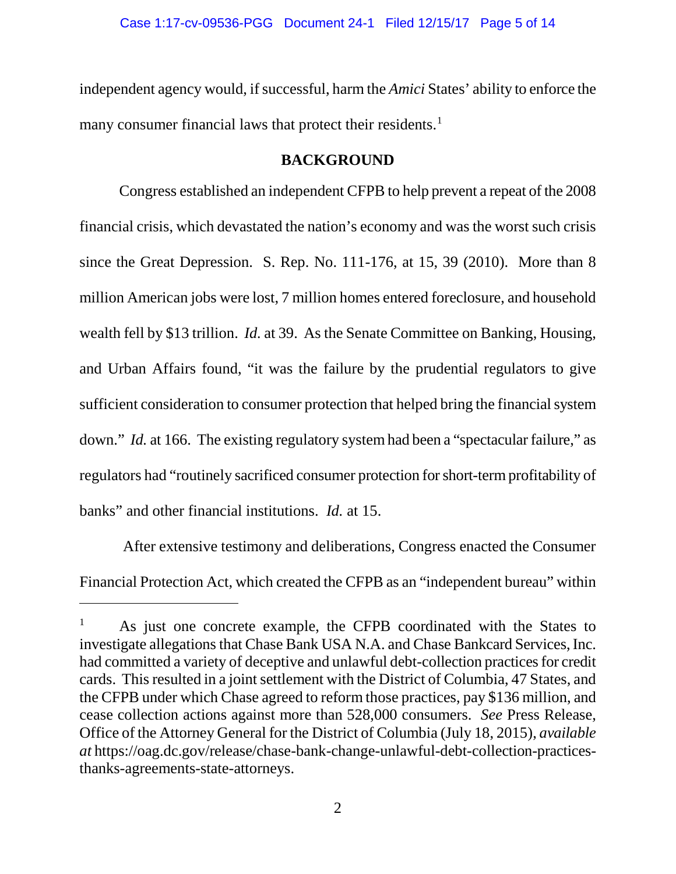independent agency would, if successful, harm the *Amici* States' ability to enforce the many consumer financial laws that protect their residents.<sup>[1](#page-4-1)</sup>

### **BACKGROUND**

<span id="page-4-0"></span>Congress established an independent CFPB to help prevent a repeat of the 2008 financial crisis, which devastated the nation's economy and was the worst such crisis since the Great Depression. S. Rep. No. 111-176, at 15, 39 (2010). More than 8 million American jobs were lost, 7 million homes entered foreclosure, and household wealth fell by \$13 trillion. *Id.* at 39. As the Senate Committee on Banking, Housing, and Urban Affairs found, "it was the failure by the prudential regulators to give sufficient consideration to consumer protection that helped bring the financial system down." *Id.* at 166. The existing regulatory system had been a "spectacular failure," as regulators had "routinely sacrificed consumer protection for short-term profitability of banks" and other financial institutions. *Id.* at 15.

After extensive testimony and deliberations, Congress enacted the Consumer Financial Protection Act, which created the CFPB as an "independent bureau" within

 $\overline{a}$ 

<span id="page-4-1"></span><sup>1</sup> As just one concrete example, the CFPB coordinated with the States to investigate allegations that Chase Bank USA N.A. and Chase Bankcard Services, Inc. had committed a variety of deceptive and unlawful debt-collection practices for credit cards. This resulted in a joint settlement with the District of Columbia, 47 States, and the CFPB under which Chase agreed to reform those practices, pay \$136 million, and cease collection actions against more than 528,000 consumers. *See* Press Release, Office of the Attorney General for the District of Columbia (July 18, 2015), *available at* [https://oag.dc.gov/release/chase-bank-change-unlawful-debt-collection-practices](https://oag.dc.gov/release/chase-bank-change-unlawful-debt-collection-practices-thanks-agreements-state-attorneys)[thanks-agreements-state-attorneys.](https://oag.dc.gov/release/chase-bank-change-unlawful-debt-collection-practices-thanks-agreements-state-attorneys)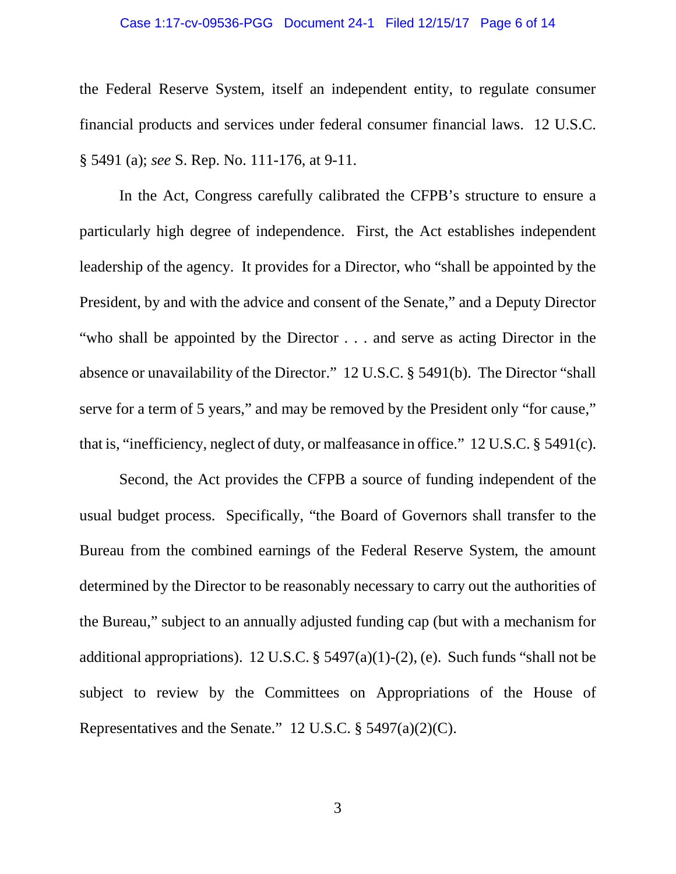#### Case 1:17-cv-09536-PGG Document 24-1 Filed 12/15/17 Page 6 of 14

the Federal Reserve System, itself an independent entity, to regulate consumer financial products and services under federal consumer financial laws. 12 U.S.C. § 5491 (a); *see* S. Rep. No. 111-176, at 9-11.

In the Act, Congress carefully calibrated the CFPB's structure to ensure a particularly high degree of independence. First, the Act establishes independent leadership of the agency. It provides for a Director, who "shall be appointed by the President, by and with the advice and consent of the Senate," and a Deputy Director "who shall be appointed by the Director . . . and serve as acting Director in the absence or unavailability of the Director." 12 U.S.C. § 5491(b). The Director "shall serve for a term of 5 years," and may be removed by the President only "for cause," that is, "inefficiency, neglect of duty, or malfeasance in office." 12 U.S.C. § 5491(c).

Second, the Act provides the CFPB a source of funding independent of the usual budget process. Specifically, "the Board of Governors shall transfer to the Bureau from the combined earnings of the Federal Reserve System, the amount determined by the Director to be reasonably necessary to carry out the authorities of the Bureau," subject to an annually adjusted funding cap (but with a mechanism for additional appropriations). 12 U.S.C. §  $5497(a)(1)-(2)$ , (e). Such funds "shall not be subject to review by the Committees on Appropriations of the House of Representatives and the Senate." 12 U.S.C. § 5497(a)(2)(C).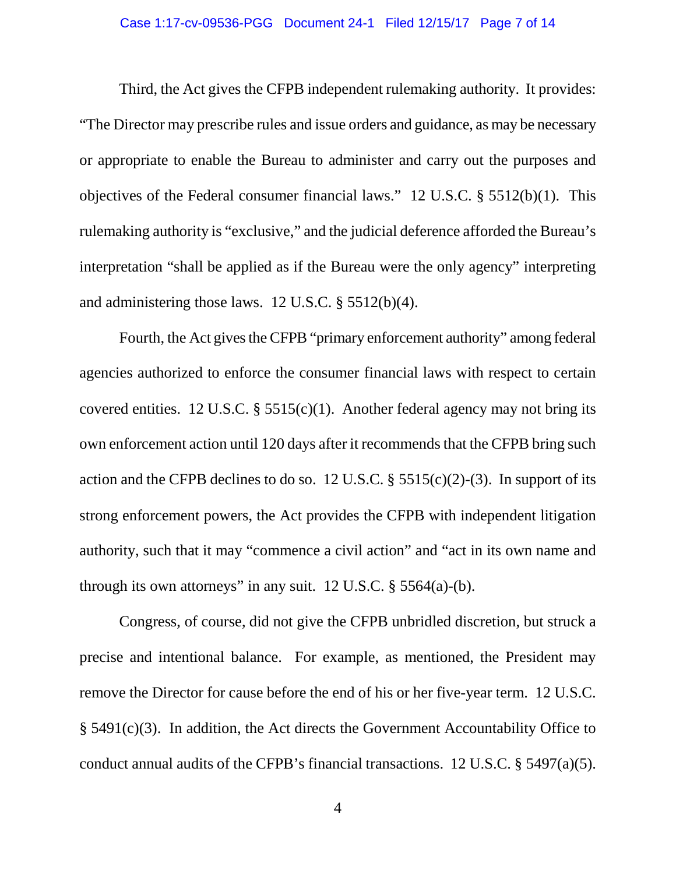#### Case 1:17-cv-09536-PGG Document 24-1 Filed 12/15/17 Page 7 of 14

Third, the Act gives the CFPB independent rulemaking authority. It provides: "The Director may prescribe rules and issue orders and guidance, as may be necessary or appropriate to enable the Bureau to administer and carry out the purposes and objectives of the Federal consumer financial laws." 12 U.S.C. § 5512(b)(1). This rulemaking authority is "exclusive," and the judicial deference afforded the Bureau's interpretation "shall be applied as if the Bureau were the only agency" interpreting and administering those laws. 12 U.S.C. § 5512(b)(4).

Fourth, the Act gives the CFPB "primary enforcement authority" among federal agencies authorized to enforce the consumer financial laws with respect to certain covered entities. 12 U.S.C. §  $5515(c)(1)$ . Another federal agency may not bring its own enforcement action until 120 days after it recommends that the CFPB bring such action and the CFPB declines to do so. 12 U.S.C.  $\S$  5515(c)(2)-(3). In support of its strong enforcement powers, the Act provides the CFPB with independent litigation authority, such that it may "commence a civil action" and "act in its own name and through its own attorneys" in any suit.  $12 \text{ U.S.C. }$  § 5564(a)-(b).

Congress, of course, did not give the CFPB unbridled discretion, but struck a precise and intentional balance. For example, as mentioned, the President may remove the Director for cause before the end of his or her five-year term. 12 U.S.C. § 5491(c)(3). In addition, the Act directs the Government Accountability Office to conduct annual audits of the CFPB's financial transactions. 12 U.S.C. § 5497(a)(5).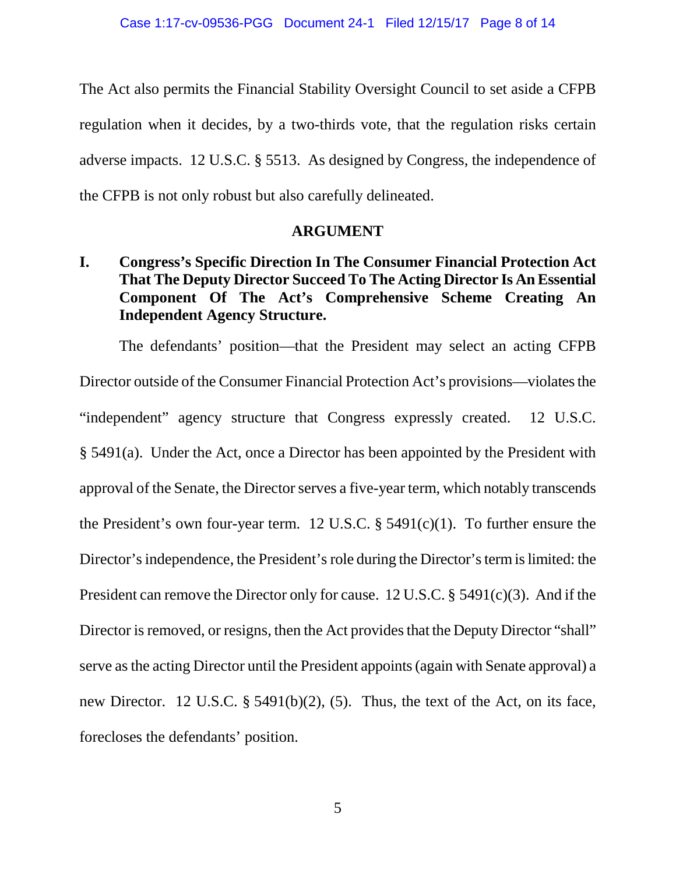The Act also permits the Financial Stability Oversight Council to set aside a CFPB regulation when it decides, by a two-thirds vote, that the regulation risks certain adverse impacts. 12 U.S.C. § 5513. As designed by Congress, the independence of the CFPB is not only robust but also carefully delineated.

#### **ARGUMENT**

## <span id="page-7-1"></span><span id="page-7-0"></span>**I. Congress's Specific Direction In The Consumer Financial Protection Act That The Deputy Director Succeed To The Acting Director Is An Essential Component Of The Act's Comprehensive Scheme Creating An Independent Agency Structure.**

The defendants' position—that the President may select an acting CFPB Director outside of the Consumer Financial Protection Act's provisions—violates the "independent" agency structure that Congress expressly created. 12 U.S.C. § 5491(a). Under the Act, once a Director has been appointed by the President with approval of the Senate, the Director serves a five-year term, which notably transcends the President's own four-year term. 12 U.S.C.  $\S$  5491(c)(1). To further ensure the Director's independence, the President's role during the Director's term is limited: the President can remove the Director only for cause. 12 U.S.C. § 5491(c)(3). And if the Director is removed, or resigns, then the Act provides that the Deputy Director "shall" serve as the acting Director until the President appoints (again with Senate approval) a new Director. 12 U.S.C. § 5491(b)(2), (5). Thus, the text of the Act, on its face, forecloses the defendants' position.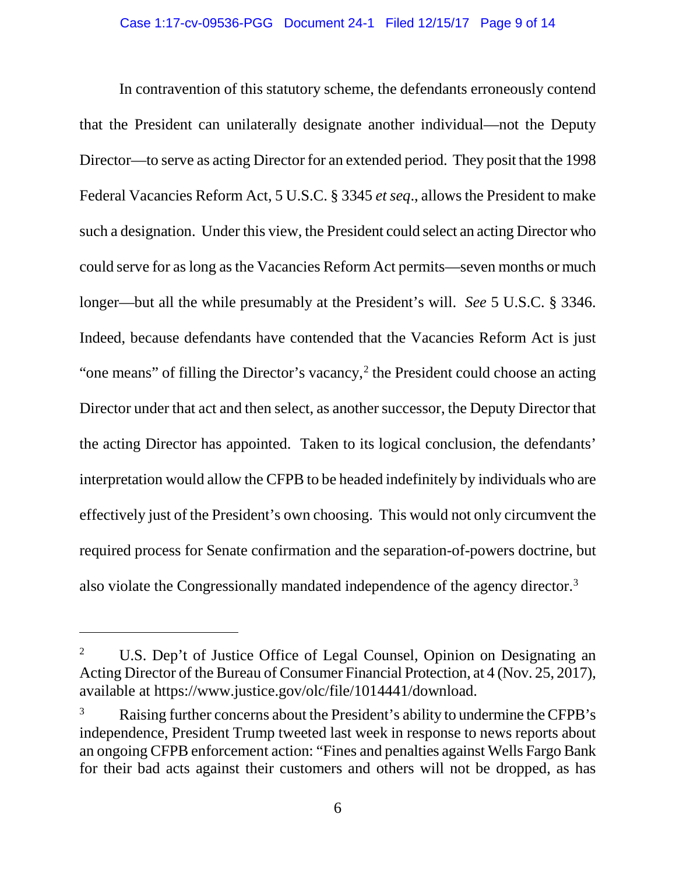In contravention of this statutory scheme, the defendants erroneously contend that the President can unilaterally designate another individual—not the Deputy Director—to serve as acting Director for an extended period. They posit that the 1998 Federal Vacancies Reform Act, 5 U.S.C. § 3345 *et seq*., allows the President to make such a designation. Under this view, the President could select an acting Director who could serve for as long as the Vacancies Reform Act permits—seven months or much longer—but all the while presumably at the President's will. *See* 5 U.S.C. § 3346. Indeed, because defendants have contended that the Vacancies Reform Act is just "one means" of filling the Director's vacancy, $2$  the President could choose an acting Director under that act and then select, as another successor, the Deputy Director that the acting Director has appointed. Taken to its logical conclusion, the defendants' interpretation would allow the CFPB to be headed indefinitely by individuals who are effectively just of the President's own choosing. This would not only circumvent the required process for Senate confirmation and the separation-of-powers doctrine, but also violate the Congressionally mandated independence of the agency director[.3](#page-8-1)

 $\overline{a}$ 

<span id="page-8-0"></span><sup>&</sup>lt;sup>2</sup> U.S. Dep't of Justice Office of Legal Counsel, Opinion on Designating an Acting Director of the Bureau of Consumer Financial Protection, at 4 (Nov. 25, 2017), available at [https://www.justice.gov/olc/file/1014441/download.](https://www.justice.gov/olc/file/1014441/download)

<span id="page-8-1"></span>Raising further concerns about the President's ability to undermine the CFPB's independence, President Trump tweeted last week in response to news reports about an ongoing CFPB enforcement action: "Fines and penalties against Wells Fargo Bank for their bad acts against their customers and others will not be dropped, as has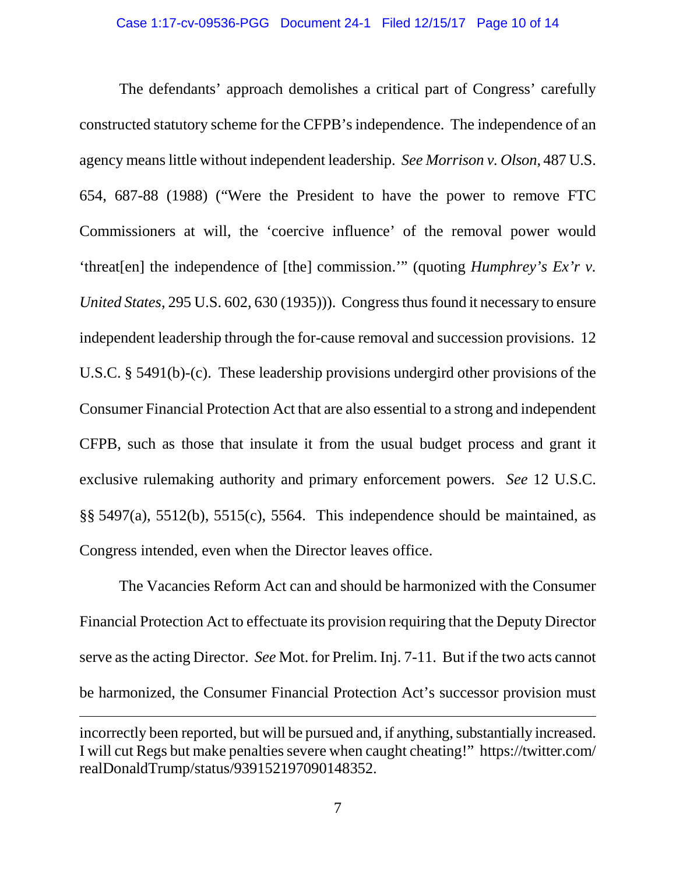The defendants' approach demolishes a critical part of Congress' carefully constructed statutory scheme for the CFPB's independence. The independence of an agency meanslittle without independent leadership. *See Morrison v. Olson*, 487 U.S. 654, 687-88 (1988) ("Were the President to have the power to remove FTC Commissioners at will, the 'coercive influence' of the removal power would 'threat[en] the independence of [the] commission.'" (quoting *Humphrey's Ex'r v. United States*, 295 U.S. 602, 630 (1935))). Congress thus found it necessary to ensure independent leadership through the for-cause removal and succession provisions. 12 U.S.C. § 5491(b)-(c). These leadership provisions undergird other provisions of the Consumer Financial Protection Act that are also essential to a strong and independent CFPB, such as those that insulate it from the usual budget process and grant it exclusive rulemaking authority and primary enforcement powers. *See* 12 U.S.C. §§ 5497(a), 5512(b), 5515(c), 5564. This independence should be maintained, as Congress intended, even when the Director leaves office.

The Vacancies Reform Act can and should be harmonized with the Consumer Financial Protection Act to effectuate its provision requiring that the Deputy Director serve as the acting Director. *See* Mot. for Prelim. Inj. 7-11. But if the two acts cannot be harmonized, the Consumer Financial Protection Act's successor provision must  $\overline{a}$ incorrectly been reported, but will be pursued and, if anything, substantially increased. I will cut Regs but make penalties severe when caught cheating!" https://twitter.com/ realDonaldTrump/status/939152197090148352.

7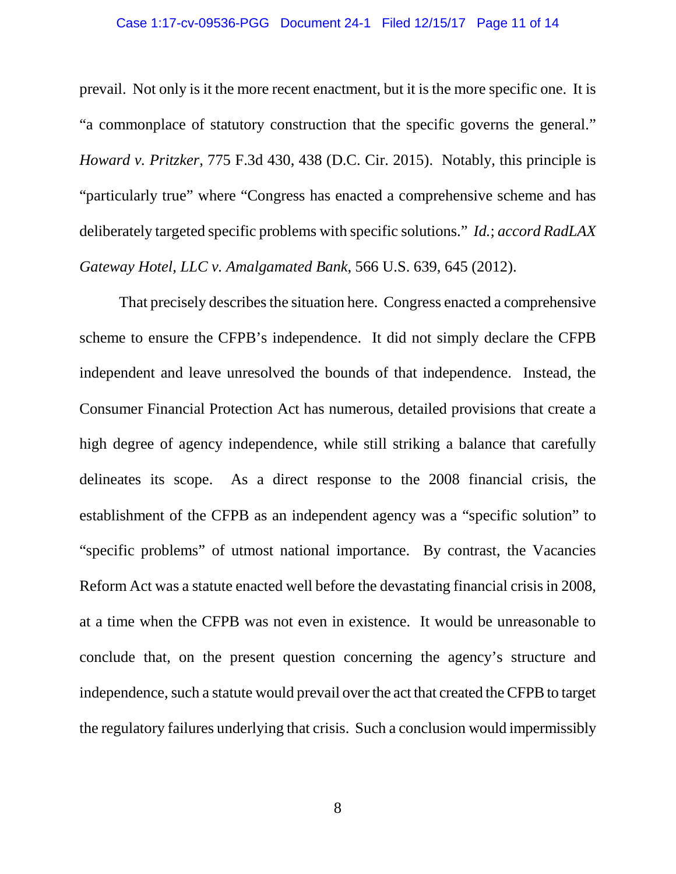#### Case 1:17-cv-09536-PGG Document 24-1 Filed 12/15/17 Page 11 of 14

prevail. Not only is it the more recent enactment, but it is the more specific one. It is "a commonplace of statutory construction that the specific governs the general." *Howard v. Pritzker*, 775 F.3d 430, 438 (D.C. Cir. 2015). Notably, this principle is "particularly true" where "Congress has enacted a comprehensive scheme and has deliberately targeted specific problems with specific solutions." *Id.*; *accord RadLAX Gateway Hotel, LLC v. Amalgamated Bank*, 566 U.S. 639, 645 (2012).

That precisely describes the situation here. Congress enacted a comprehensive scheme to ensure the CFPB's independence. It did not simply declare the CFPB independent and leave unresolved the bounds of that independence. Instead, the Consumer Financial Protection Act has numerous, detailed provisions that create a high degree of agency independence, while still striking a balance that carefully delineates its scope. As a direct response to the 2008 financial crisis, the establishment of the CFPB as an independent agency was a "specific solution" to "specific problems" of utmost national importance. By contrast, the Vacancies Reform Act was a statute enacted well before the devastating financial crisis in 2008, at a time when the CFPB was not even in existence. It would be unreasonable to conclude that, on the present question concerning the agency's structure and independence, such a statute would prevail over the act that created the CFPB to target the regulatory failures underlying that crisis. Such a conclusion would impermissibly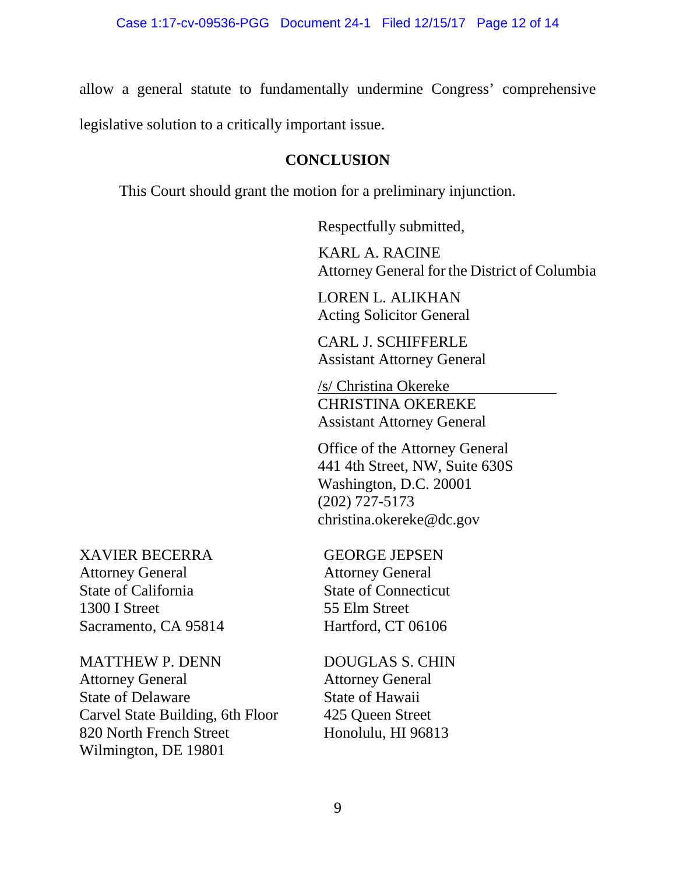allow a general statute to fundamentally undermine Congress' comprehensive

legislative solution to a critically important issue.

### <span id="page-11-0"></span>**CONCLUSION**

This Court should grant the motion for a preliminary injunction.

Respectfully submitted,

KARL A. RACINE Attorney General for the District of Columbia

LOREN L. ALIKHAN Acting Solicitor General

CARL J. SCHIFFERLE Assistant Attorney General

/s/ Christina Okereke CHRISTINA OKEREKE Assistant Attorney General

Office of the Attorney General 441 4th Street, NW, Suite 630S Washington, D.C. 20001 (202) 727-5173 [christina.okereke@dc.gov](mailto:christina.okereke@dc.gov)

XAVIER BECERRA Attorney General State of California 1300 I Street Sacramento, CA 95814

MATTHEW P. DENN Attorney General State of Delaware Carvel State Building, 6th Floor 820 North French Street Wilmington, DE 19801

GEORGE JEPSEN Attorney General State of Connecticut 55 Elm Street Hartford, CT 06106

DOUGLAS S. CHIN Attorney General State of Hawaii 425 Queen Street Honolulu, HI 96813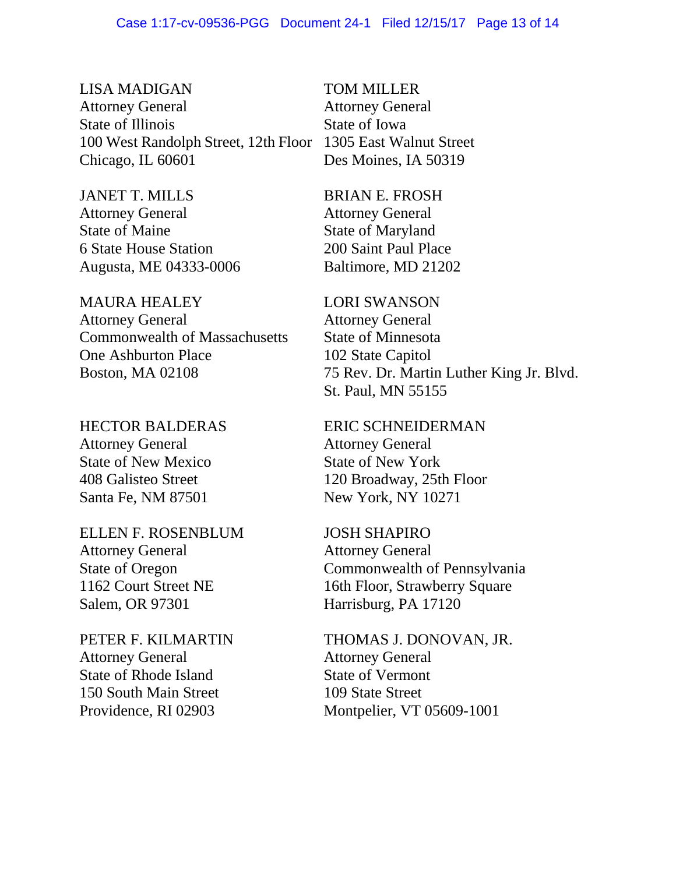LISA MADIGAN Attorney General State of Illinois 100 West Randolph Street, 12th Floor Chicago, IL 60601

JANET T. MILLS Attorney General State of Maine 6 State House Station Augusta, ME 04333-0006

MAURA HEALEY Attorney General Commonwealth of Massachusetts One Ashburton Place Boston, MA 02108

HECTOR BALDERAS Attorney General State of New Mexico 408 Galisteo Street Santa Fe, NM 87501

ELLEN F. ROSENBLUM Attorney General State of Oregon 1162 Court Street NE Salem, OR 97301

PETER F. KILMARTIN Attorney General State of Rhode Island 150 South Main Street Providence, RI 02903

TOM MILLER Attorney General State of Iowa 1305 East Walnut Street Des Moines, IA 50319

BRIAN E. FROSH Attorney General State of Maryland 200 Saint Paul Place Baltimore, MD 21202

LORI SWANSON Attorney General State of Minnesota 102 State Capitol 75 Rev. Dr. Martin Luther King Jr. Blvd. St. Paul, MN 55155

ERIC SCHNEIDERMAN Attorney General State of New York 120 Broadway, 25th Floor New York, NY 10271

JOSH SHAPIRO Attorney General Commonwealth of Pennsylvania 16th Floor, Strawberry Square Harrisburg, PA 17120

THOMAS J. DONOVAN, JR. Attorney General State of Vermont 109 State Street Montpelier, VT 05609-1001